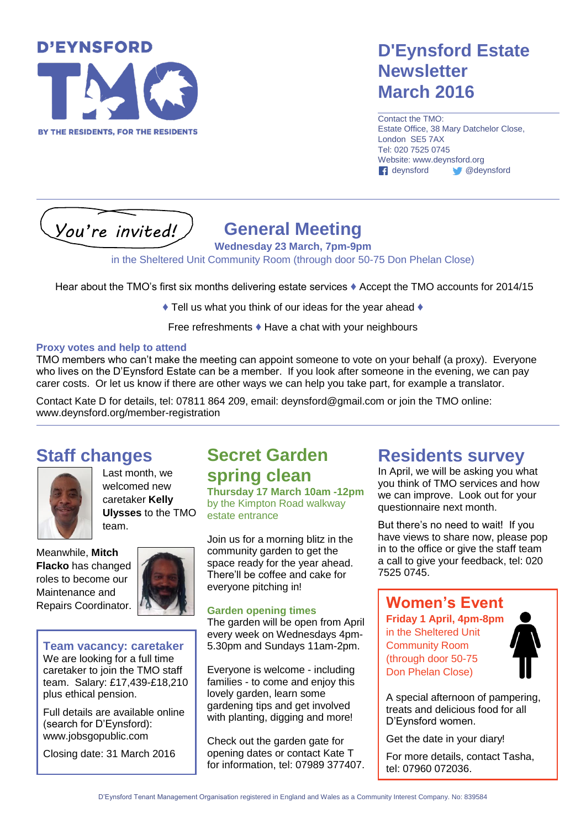

### **D'Eynsford Estate Newsletter March 2016**

Contact the TMO: Estate Office, 38 Mary Datchelor Close, London SE5 7AX Tel: 020 7525 0745 Website: www.deynsford.org deynsford @deynsford

*You're invited!*

# **General Meeting**

**Wednesday 23 March, 7pm-9pm**

in the Sheltered Unit Community Room (through door 50-75 Don Phelan Close)

Hear about the TMO's first six months delivering estate services **♦** Accept the TMO accounts for 2014/15

**♦** Tell us what you think of our ideas for the year ahead **♦**

Free refreshments **♦** Have a chat with your neighbours

#### **Proxy votes and help to attend**

TMO members who can't make the meeting can appoint someone to vote on your behalf (a proxy). Everyone who lives on the D'Eynsford Estate can be a member. If you look after someone in the evening, we can pay carer costs. Or let us know if there are other ways we can help you take part, for example a translator.

Contact Kate D for details, tel: 07811 864 209, email: deynsford@gmail.com or join the TMO online: www.deynsford.org/member-registration

### **Staff changes**



Last month, we welcomed new caretaker **Kelly Ulysses** to the TMO team.

Meanwhile, **Mitch Flacko** has changed roles to become our Maintenance and Repairs Coordinator.



#### **Team vacancy: caretaker**

We are looking for a full time caretaker to join the TMO staff team. Salary: £17,439-£18,210 plus ethical pension.

Full details are available online (search for D'Eynsford): www.jobsgopublic.com

Closing date: 31 March 2016

### **Secret Garden spring clean**

**Thursday 17 March 10am -12pm** by the Kimpton Road walkway estate entrance

Join us for a morning blitz in the community garden to get the space ready for the year ahead. There'll be coffee and cake for everyone pitching in!

#### **Garden opening times**

The garden will be open from April every week on Wednesdays 4pm-5.30pm and Sundays 11am-2pm.

Everyone is welcome - including families - to come and enjoy this lovely garden, learn some gardening tips and get involved with planting, digging and more!

Check out the garden gate for opening dates or contact Kate T for information, tel: 07989 377407.

### **Residents survey**

In April, we will be asking you what you think of TMO services and how we can improve. Look out for your questionnaire next month.

But there's no need to wait! If you have views to share now, please pop in to the office or give the staff team a call to give your feedback, tel: 020 7525 0745.

### **Women's Event**

**Friday 1 April, 4pm-8pm** in the Sheltered Unit Community Room (through door 50-75 Don Phelan Close)



A special afternoon of pampering, treats and delicious food for all D'Eynsford women.

Get the date in your diary!

For more details, contact Tasha, tel: 07960 072036.